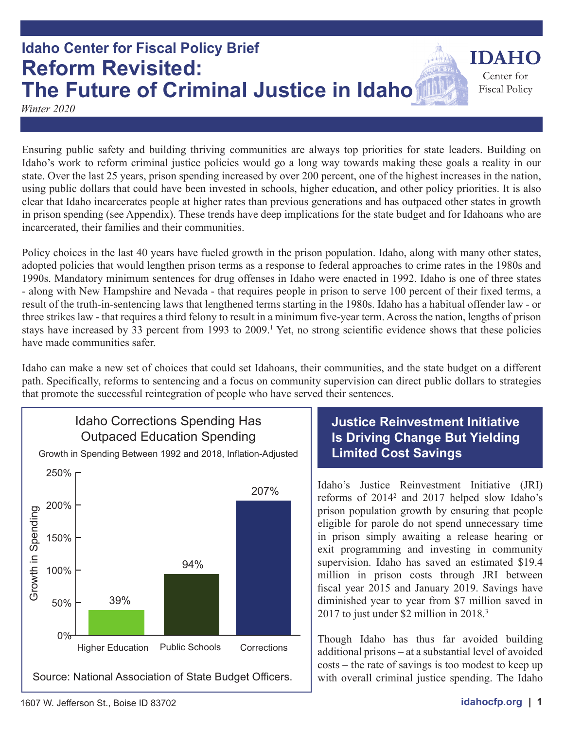

## **Justice Reinvestment Initiative Is Driving Change But Yielding Limited Cost Savings**

Idaho's Justice Reinvestment Initiative (JRI) reforms of 2014<sup>2</sup> and 2017 helped slow Idaho's prison population growth by ensuring that people eligible for parole do not spend unnecessary time in prison simply awaiting a release hearing or exit programming and investing in community supervision. Idaho has saved an estimated \$19.4 million in prison costs through JRI between fiscal year 2015 and January 2019. Savings have diminished year to year from \$7 million saved in 2017 to just under \$2 million in 2018.<sup>3</sup>

Though Idaho has thus far avoided building additional prisons – at a substantial level of avoided costs – the rate of savings is too modest to keep up with overall criminal justice spending. The Idaho

# three strikes law - that requires a third felony to result in a minimum five-year term. Across the nation, lengths of prison stays have increased by 33 percent from 1993 to 2009.<sup>1</sup> Yet, no strong scientific evidence shows that these policies

Idaho can make a new set of choices that could set Idahoans, their communities, and the state budget on a different path. Specifically, reforms to sentencing and a focus on community supervision can direct public dollars to strategies that promote the successful reintegration of people who have served their sentences.

incarcerated, their families and their communities.

Ensuring public safety and building thriving communities are always top priorities for state leaders. Building on Idaho's work to reform criminal justice policies would go a long way towards making these goals a reality in our state. Over the last 25 years, prison spending increased by over 200 percent, one of the highest increases in the nation, using public dollars that could have been invested in schools, higher education, and other policy priorities. It is also clear that Idaho incarcerates people at higher rates than previous generations and has outpaced other states in growth in prison spending (see Appendix). These trends have deep implications for the state budget and for Idahoans who are

Policy choices in the last 40 years have fueled growth in the prison population. Idaho, along with many other states, adopted policies that would lengthen prison terms as a response to federal approaches to crime rates in the 1980s and 1990s. Mandatory minimum sentences for drug offenses in Idaho were enacted in 1992. Idaho is one of three states - along with New Hampshire and Nevada - that requires people in prison to serve 100 percent of their fixed terms, a result of the truth-in-sentencing laws that lengthened terms starting in the 1980s. Idaho has a habitual offender law - or

**Idaho Center for Fiscal Policy Brief Reform Revisited: The Future of Criminal Justice in Idaho**

*Winter 2020*

have made communities safer.

**IDAHC** 

Center for **Fiscal Policy**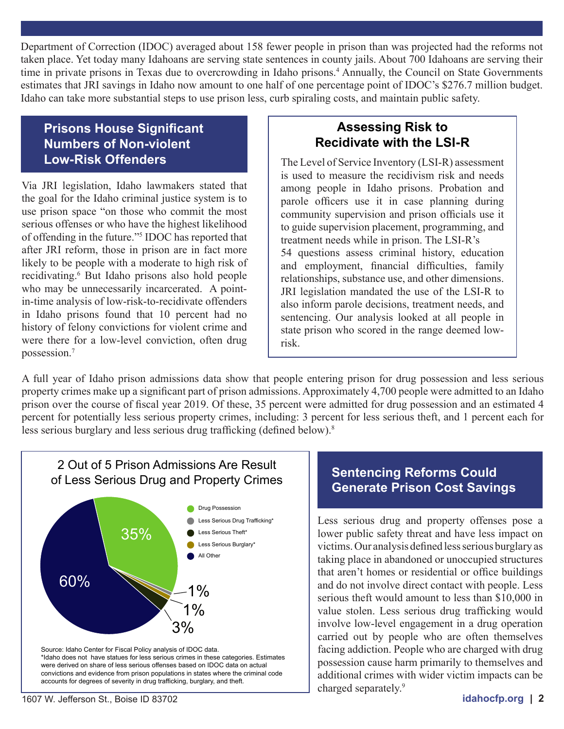Department of Correction (IDOC) averaged about 158 fewer people in prison than was projected had the reforms not taken place. Yet today many Idahoans are serving state sentences in county jails. About 700 Idahoans are serving their time in private prisons in Texas due to overcrowding in Idaho prisons.<sup>4</sup> Annually, the Council on State Governments estimates that JRI savings in Idaho now amount to one half of one percentage point of IDOC's \$276.7 million budget. Idaho can take more substantial steps to use prison less, curb spiraling costs, and maintain public safety.

### **Prisons House Significant Numbers of Non-violent Low-Risk Offenders**

Via JRI legislation, Idaho lawmakers stated that the goal for the Idaho criminal justice system is to use prison space "on those who commit the most serious offenses or who have the highest likelihood of offending in the future."5 IDOC has reported that after JRI reform, those in prison are in fact more likely to be people with a moderate to high risk of recidivating.<sup>6</sup> But Idaho prisons also hold people who may be unnecessarily incarcerated. A pointin-time analysis of low-risk-to-recidivate offenders in Idaho prisons found that 10 percent had no history of felony convictions for violent crime and were there for a low-level conviction, often drug possession.7

### **Assessing Risk to Recidivate with the LSI-R**

The Level of Service Inventory (LSI-R) assessment is used to measure the recidivism risk and needs among people in Idaho prisons. Probation and parole officers use it in case planning during community supervision and prison officials use it to guide supervision placement, programming, and treatment needs while in prison. The LSI-R's 54 questions assess criminal history, education and employment, financial difficulties, family relationships, substance use, and other dimensions. JRI legislation mandated the use of the LSI-R to also inform parole decisions, treatment needs, and sentencing. Our analysis looked at all people in state prison who scored in the range deemed lowrisk.

A full year of Idaho prison admissions data show that people entering prison for drug possession and less serious property crimes make up a significant part of prison admissions. Approximately 4,700 people were admitted to an Idaho prison over the course of fiscal year 2019. Of these, 35 percent were admitted for drug possession and an estimated 4 percent for potentially less serious property crimes, including: 3 percent for less serious theft, and 1 percent each for less serious burglary and less serious drug trafficking (defined below).<sup>8</sup>



# **Generate Prison Cost Savings**

Less serious drug and property offenses pose a lower public safety threat and have less impact on victims. Our analysis defined less serious burglary as taking place in abandoned or unoccupied structures that aren't homes or residential or office buildings and do not involve direct contact with people. Less serious theft would amount to less than \$10,000 in value stolen. Less serious drug trafficking would involve low-level engagement in a drug operation carried out by people who are often themselves facing addiction. People who are charged with drug possession cause harm primarily to themselves and additional crimes with wider victim impacts can be charged separately.9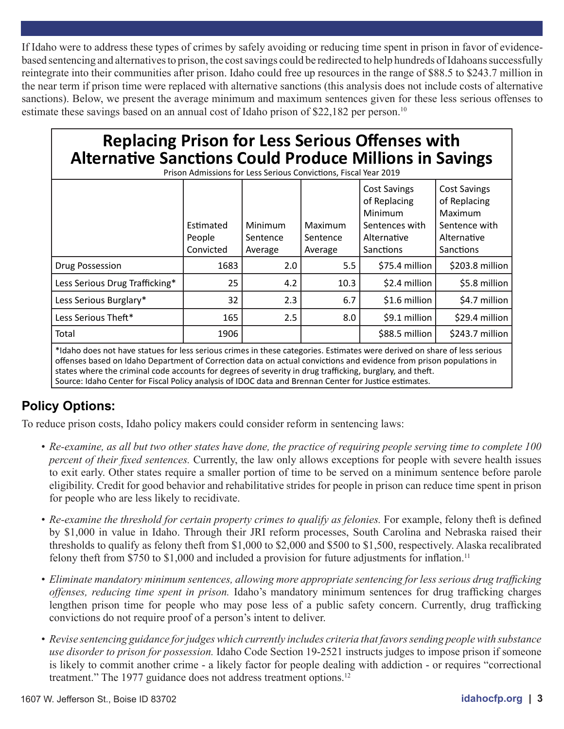If Idaho were to address these types of crimes by safely avoiding or reducing time spent in prison in favor of evidencebased sentencing and alternatives to prison, the cost savings could be redirected to help hundreds of Idahoans successfully reintegrate into their communities after prison. Idaho could free up resources in the range of \$88.5 to \$243.7 million in the near term if prison time were replaced with alternative sanctions (this analysis does not include costs of alternative sanctions). Below, we present the average minimum and maximum sentences given for these less serious offenses to estimate these savings based on an annual cost of Idaho prison of \$22,182 per person.<sup>10</sup>

# **Replacing Prison for Less Serious Offenses with Alternative Sanctions Could Produce Millions in Savings**

| Prison Admissions for Less Serious Convictions, Fiscal Year 2019 |                                  |                                |                                |                                                                                              |                                                                                                    |
|------------------------------------------------------------------|----------------------------------|--------------------------------|--------------------------------|----------------------------------------------------------------------------------------------|----------------------------------------------------------------------------------------------------|
|                                                                  | Estimated<br>People<br>Convicted | Minimum<br>Sentence<br>Average | Maximum<br>Sentence<br>Average | <b>Cost Savings</b><br>of Replacing<br>Minimum<br>Sentences with<br>Alternative<br>Sanctions | <b>Cost Savings</b><br>of Replacing<br>Maximum<br>Sentence with<br>Alternative<br><b>Sanctions</b> |
| Drug Possession                                                  | 1683                             | 2.0                            | 5.5                            | \$75.4 million                                                                               | \$203.8 million                                                                                    |
| Less Serious Drug Trafficking*                                   | 25                               | 4.2                            | 10.3                           | \$2.4 million                                                                                | \$5.8 million                                                                                      |
| Less Serious Burglary*                                           | 32                               | 2.3                            | 6.7                            | $$1.6$ million                                                                               | \$4.7 million                                                                                      |
| Less Serious Theft*                                              | 165                              | 2.5                            | 8.0                            | \$9.1 million                                                                                | \$29.4 million                                                                                     |
| Total                                                            | 1906                             |                                |                                | \$88.5 million                                                                               | \$243.7 million                                                                                    |
|                                                                  |                                  |                                |                                |                                                                                              |                                                                                                    |

\*Idaho does not have statues for less serious crimes in these categories. Estimates were derived on share of less serious offenses based on Idaho Department of Correction data on actual convictions and evidence from prison populations in states where the criminal code accounts for degrees of severity in drug trafficking, burglary, and theft. Source: Idaho Center for Fiscal Policy analysis of IDOC data and Brennan Center for Justice estimates.

### **Policy Options:**

To reduce prison costs, Idaho policy makers could consider reform in sentencing laws:

- Re-examine, as all but two other states have done, the practice of requiring people serving time to complete 100 *percent of their fixed sentences.* Currently, the law only allows exceptions for people with severe health issues to exit early. Other states require a smaller portion of time to be served on a minimum sentence before parole eligibility. Credit for good behavior and rehabilitative strides for people in prison can reduce time spent in prison for people who are less likely to recidivate.
- *Re-examine the threshold for certain property crimes to qualify as felonies. For example, felony theft is defined* by \$1,000 in value in Idaho. Through their JRI reform processes, South Carolina and Nebraska raised their thresholds to qualify as felony theft from \$1,000 to \$2,000 and \$500 to \$1,500, respectively. Alaska recalibrated felony theft from \$750 to \$1,000 and included a provision for future adjustments for inflation.<sup>11</sup>
- *• Eliminate mandatory minimum sentences, allowing more appropriate sentencing for less serious drug trafficking offenses, reducing time spent in prison.* Idaho's mandatory minimum sentences for drug trafficking charges lengthen prison time for people who may pose less of a public safety concern. Currently, drug trafficking convictions do not require proof of a person's intent to deliver.
- Revise sentencing guidance for judges which currently includes criteria that favors sending people with substance *use disorder to prison for possession.* Idaho Code Section 19-2521 instructs judges to impose prison if someone is likely to commit another crime - a likely factor for people dealing with addiction - or requires "correctional treatment." The 1977 guidance does not address treatment options.<sup>12</sup>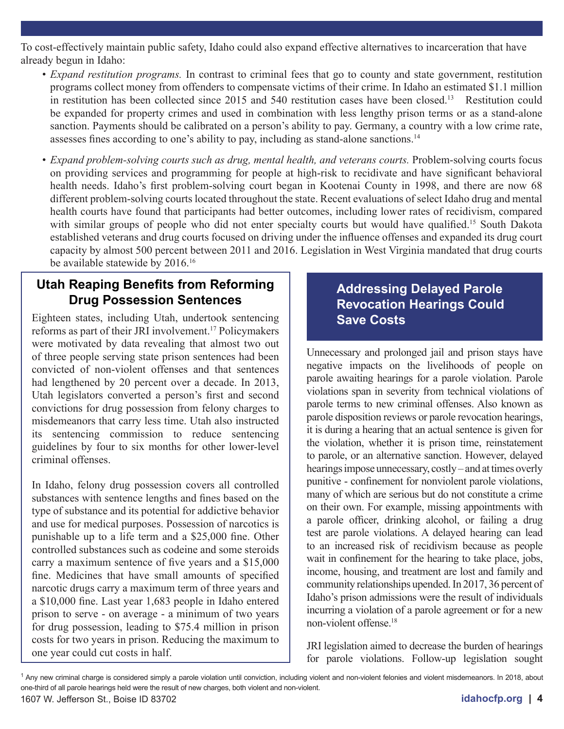To cost-effectively maintain public safety, Idaho could also expand effective alternatives to incarceration that have already begun in Idaho:

- *• Expand restitution programs.* In contrast to criminal fees that go to county and state government, restitution programs collect money from offenders to compensate victims of their crime. In Idaho an estimated \$1.1 million in restitution has been collected since 2015 and 540 restitution cases have been closed.<sup>13</sup> Restitution could be expanded for property crimes and used in combination with less lengthy prison terms or as a stand-alone sanction. Payments should be calibrated on a person's ability to pay. Germany, a country with a low crime rate, assesses fines according to one's ability to pay, including as stand-alone sanctions.<sup>14</sup>
- *Expand problem-solving courts such as drug, mental health, and veterans courts. Problem-solving courts focus* on providing services and programming for people at high-risk to recidivate and have significant behavioral health needs. Idaho's first problem-solving court began in Kootenai County in 1998, and there are now 68 different problem-solving courts located throughout the state. Recent evaluations of select Idaho drug and mental health courts have found that participants had better outcomes, including lower rates of recidivism, compared with similar groups of people who did not enter specialty courts but would have qualified.<sup>15</sup> South Dakota established veterans and drug courts focused on driving under the influence offenses and expanded its drug court capacity by almost 500 percent between 2011 and 2016. Legislation in West Virginia mandated that drug courts be available statewide by 2016.<sup>16</sup>

### **Utah Reaping Benefits from Reforming Drug Possession Sentences**

Eighteen states, including Utah, undertook sentencing reforms as part of their JRI involvement.17 Policymakers were motivated by data revealing that almost two out of three people serving state prison sentences had been convicted of non-violent offenses and that sentences had lengthened by 20 percent over a decade. In 2013, Utah legislators converted a person's first and second convictions for drug possession from felony charges to misdemeanors that carry less time. Utah also instructed its sentencing commission to reduce sentencing guidelines by four to six months for other lower-level criminal offenses.

In Idaho, felony drug possession covers all controlled substances with sentence lengths and fines based on the type of substance and its potential for addictive behavior and use for medical purposes. Possession of narcotics is punishable up to a life term and a \$25,000 fine. Other controlled substances such as codeine and some steroids carry a maximum sentence of five years and a \$15,000 fine. Medicines that have small amounts of specified narcotic drugs carry a maximum term of three years and a \$10,000 fine. Last year 1,683 people in Idaho entered prison to serve - on average - a minimum of two years for drug possession, leading to \$75.4 million in prison costs for two years in prison. Reducing the maximum to one year could cut costs in half.

### **Addressing Delayed Parole Revocation Hearings Could Save Costs**

Unnecessary and prolonged jail and prison stays have negative impacts on the livelihoods of people on parole awaiting hearings for a parole violation. Parole violations span in severity from technical violations of parole terms to new criminal offenses. Also known as parole disposition reviews or parole revocation hearings, it is during a hearing that an actual sentence is given for the violation, whether it is prison time, reinstatement to parole, or an alternative sanction. However, delayed hearings impose unnecessary, costly – and at times overly punitive - confinement for nonviolent parole violations, many of which are serious but do not constitute a crime on their own. For example, missing appointments with a parole officer, drinking alcohol, or failing a drug test are parole violations. A delayed hearing can lead to an increased risk of recidivism because as people wait in confinement for the hearing to take place, jobs, income, housing, and treatment are lost and family and community relationships upended. In 2017, 36 percent of Idaho's prison admissions were the result of individuals incurring a violation of a parole agreement or for a new non-violent offense.18

JRI legislation aimed to decrease the burden of hearings for parole violations. Follow-up legislation sought

<sup>&</sup>lt;sup>1</sup> Any new criminal charge is considered simply a parole violation until conviction, including violent and non-violent felonies and violent misdemeanors. In 2018, about one-third of all parole hearings held were the result of new charges, both violent and non-violent.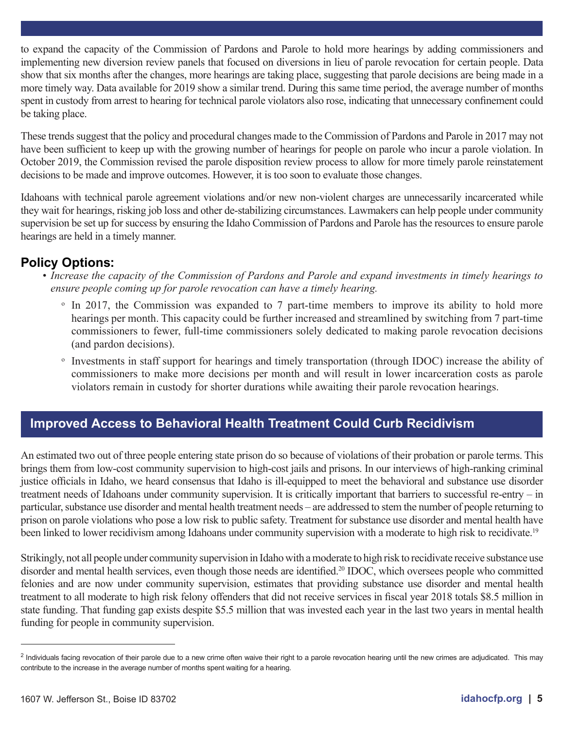to expand the capacity of the Commission of Pardons and Parole to hold more hearings by adding commissioners and implementing new diversion review panels that focused on diversions in lieu of parole revocation for certain people. Data show that six months after the changes, more hearings are taking place, suggesting that parole decisions are being made in a more timely way. Data available for 2019 show a similar trend. During this same time period, the average number of months spent in custody from arrest to hearing for technical parole violators also rose, indicating that unnecessary confinement could be taking place.

These trends suggest that the policy and procedural changes made to the Commission of Pardons and Parole in 2017 may not have been sufficient to keep up with the growing number of hearings for people on parole who incur a parole violation. In October 2019, the Commission revised the parole disposition review process to allow for more timely parole reinstatement decisions to be made and improve outcomes. However, it is too soon to evaluate those changes.

Idahoans with technical parole agreement violations and/or new non-violent charges are unnecessarily incarcerated while they wait for hearings, risking job loss and other de-stabilizing circumstances. Lawmakers can help people under community supervision be set up for success by ensuring the Idaho Commission of Pardons and Parole has the resources to ensure parole hearings are held in a timely manner.

- **Policy Options:** *• Increase the capacity of the Commission of Pardons and Parole and expand investments in timely hearings to ensure people coming up for parole revocation can have a timely hearing.*
	- ͦ In 2017, the Commission was expanded to 7 part-time members to improve its ability to hold more hearings per month. This capacity could be further increased and streamlined by switching from 7 part-time commissioners to fewer, full-time commissioners solely dedicated to making parole revocation decisions (and pardon decisions).
	- ͦ Investments in staff support for hearings and timely transportation (through IDOC) increase the ability of commissioners to make more decisions per month and will result in lower incarceration costs as parole violators remain in custody for shorter durations while awaiting their parole revocation hearings.

### **Improved Access to Behavioral Health Treatment Could Curb Recidivism**

An estimated two out of three people entering state prison do so because of violations of their probation or parole terms. This brings them from low-cost community supervision to high-cost jails and prisons. In our interviews of high-ranking criminal justice officials in Idaho, we heard consensus that Idaho is ill-equipped to meet the behavioral and substance use disorder treatment needs of Idahoans under community supervision. It is critically important that barriers to successful re-entry – in particular, substance use disorder and mental health treatment needs – are addressed to stem the number of people returning to prison on parole violations who pose a low risk to public safety. Treatment for substance use disorder and mental health have been linked to lower recidivism among Idahoans under community supervision with a moderate to high risk to recidivate.<sup>19</sup>

Strikingly, not all people under community supervision in Idaho with a moderate to high risk to recidivate receive substance use disorder and mental health services, even though those needs are identified.<sup>20</sup> IDOC, which oversees people who committed felonies and are now under community supervision, estimates that providing substance use disorder and mental health treatment to all moderate to high risk felony offenders that did not receive services in fiscal year 2018 totals \$8.5 million in state funding. That funding gap exists despite \$5.5 million that was invested each year in the last two years in mental health funding for people in community supervision.

<sup>&</sup>lt;sup>2</sup> Individuals facing revocation of their parole due to a new crime often waive their right to a parole revocation hearing until the new crimes are adjudicated. This may contribute to the increase in the average number of months spent waiting for a hearing.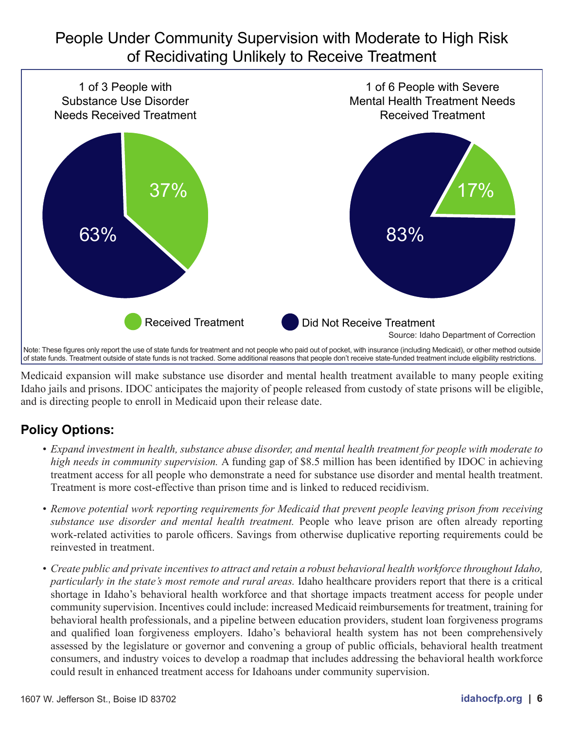## People Under Community Supervision with Moderate to High Risk of Recidivating Unlikely to Receive Treatment



Medicaid expansion will make substance use disorder and mental health treatment available to many people exiting Idaho jails and prisons. IDOC anticipates the majority of people released from custody of state prisons will be eligible, and is directing people to enroll in Medicaid upon their release date.

### **Policy Options:**

- *• Expand investment in health, substance abuse disorder, and mental health treatment for people with moderate to high needs in community supervision.* A funding gap of \$8.5 million has been identified by IDOC in achieving treatment access for all people who demonstrate a need for substance use disorder and mental health treatment. Treatment is more cost-effective than prison time and is linked to reduced recidivism.
- Remove potential work reporting requirements for Medicaid that prevent people leaving prison from receiving *substance use disorder and mental health treatment.* People who leave prison are often already reporting work-related activities to parole officers. Savings from otherwise duplicative reporting requirements could be reinvested in treatment.
- *Create public and private incentives to attract and retain a robust behavioral health workforce throughout Idaho, particularly in the state's most remote and rural areas.* Idaho healthcare providers report that there is a critical shortage in Idaho's behavioral health workforce and that shortage impacts treatment access for people under community supervision. Incentives could include: increased Medicaid reimbursements for treatment, training for behavioral health professionals, and a pipeline between education providers, student loan forgiveness programs and qualified loan forgiveness employers. Idaho's behavioral health system has not been comprehensively assessed by the legislature or governor and convening a group of public officials, behavioral health treatment consumers, and industry voices to develop a roadmap that includes addressing the behavioral health workforce could result in enhanced treatment access for Idahoans under community supervision.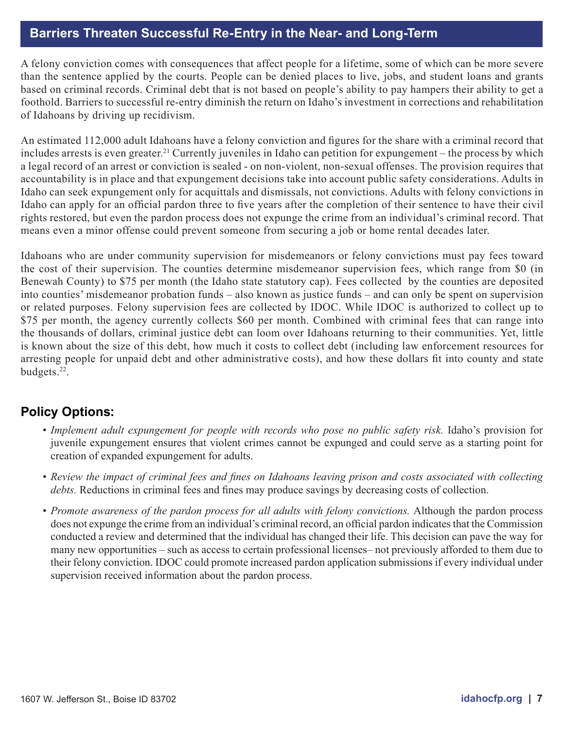### **Barriers Threaten Successful Re-Entry in the Near- and Long-Term**

A felony conviction comes with consequences that affect people for a lifetime, some of which can be more severe than the sentence applied by the courts. People can be denied places to live, jobs, and student loans and grants based on criminal records. Criminal debt that is not based on people's ability to pay hampers their ability to get a foothold. Barriers to successful re-entry diminish the return on Idaho's investment in corrections and rehabilitation of Idahoans by driving up recidivism.

An estimated 112,000 adult Idahoans have a felony conviction and figures for the share with a criminal record that includes arrests is even greater.<sup>21</sup> Currently juveniles in Idaho can petition for expungement – the process by which a legal record of an arrest or conviction is sealed - on non-violent, non-sexual offenses. The provision requires that accountability is in place and that expungement decisions take into account public safety considerations. Adults in Idaho can seek expungement only for acquittals and dismissals, not convictions. Adults with felony convictions in Idaho can apply for an official pardon three to five years after the completion of their sentence to have their civil rights restored, but even the pardon process does not expunge the crime from an individual's criminal record. That means even a minor offense could prevent someone from securing a job or home rental decades later.

Idahoans who are under community supervision for misdemeanors or felony convictions must pay fees toward the cost of their supervision. The counties determine misdemeanor supervision fees, which range from \$0 (in Benewah County) to \$75 per month (the Idaho state statutory cap). Fees collected by the counties are deposited into counties' misdemeanor probation funds – also known as justice funds – and can only be spent on supervision or related purposes. Felony supervision fees are collected by IDOC. While IDOC is authorized to collect up to \$75 per month, the agency currently collects \$60 per month. Combined with criminal fees that can range into the thousands of dollars, criminal justice debt can loom over Idahoans returning to their communities. Yet, little is known about the size of this debt, how much it costs to collect debt (including law enforcement resources for arresting people for unpaid debt and other administrative costs), and how these dollars fit into county and state budgets.22.

### **Policy Options:**

- *Implement adult expungement for people with records who pose no public safety risk. Idaho's provision for* juvenile expungement ensures that violent crimes cannot be expunged and could serve as a starting point for creation of expanded expungement for adults.
- *• Review the impact of criminal fees and fines on Idahoans leaving prison and costs associated with collecting debts.* Reductions in criminal fees and fines may produce savings by decreasing costs of collection.
- *Promote awareness of the pardon process for all adults with felony convictions. Although the pardon process* does not expunge the crime from an individual's criminal record, an official pardon indicates that the Commission conducted a review and determined that the individual has changed their life. This decision can pave the way for many new opportunities – such as access to certain professional licenses– not previously afforded to them due to their felony conviction. IDOC could promote increased pardon application submissions if every individual under supervision received information about the pardon process.